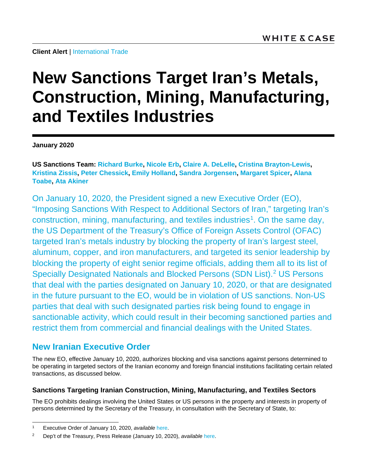# **New Sanctions Target Iran's Metals, Construction, Mining, Manufacturing, and Textiles Industries**

**January 2020**

**[US Sanctions Team:](mailto:WCUSSanctionsTeam@whitecase.com) [Richard Burke,](https://www.whitecase.com/people/richard-burke) [Nicole Erb,](https://www.whitecase.com/people/nicole-erb) [Claire A. DeLelle,](https://www.whitecase.com/people/claire-delelle) [Cristina Brayton-Lewis,](https://www.whitecase.com/people/cristina-brayton-lewis) [Kristina Zissis,](https://www.whitecase.com/people/kristina-zissis) [Peter Chessick,](https://www.whitecase.com/people/peter-chessick) [Emily Holland,](https://www.whitecase.com/people/emily-holland) [Sandra Jorgensen,](https://www.whitecase.com/people/sandra-jorgensen) [Margaret Spicer,](https://www.whitecase.com/people/margaret-spicer) [Alana](mailto:alana.toabe@whitecase.com)  [Toabe,](mailto:alana.toabe@whitecase.com) [Ata Akiner](mailto:ata.akiner@whitecase.com)**

On January 10, 2020, the President signed a new Executive Order (EO), "Imposing Sanctions With Respect to Additional Sectors of Iran," targeting Iran's construction, mining, manufacturing, and textiles industries<sup>1</sup>. On the same day, the US Department of the Treasury's Office of Foreign Assets Control (OFAC) targeted Iran's metals industry by blocking the property of Iran's largest steel, aluminum, copper, and iron manufacturers, and targeted its senior leadership by blocking the property of eight senior regime officials, adding them all to its list of Specially Designated Nationals and Blocked Persons (SDN List). [2](#page-0-1) US Persons that deal with the parties designated on January 10, 2020, or that are designated in the future pursuant to the EO, would be in violation of US sanctions. Non-US parties that deal with such designated parties risk being found to engage in sanctionable activity, which could result in their becoming sanctioned parties and restrict them from commercial and financial dealings with the United States.

## **New Iranian Executive Order**

The new EO, effective January 10, 2020, authorizes blocking and visa sanctions against persons determined to be operating in targeted sectors of the Iranian economy and foreign financial institutions facilitating certain related transactions, as discussed below.

### **Sanctions Targeting Iranian Construction, Mining, Manufacturing, and Textiles Sectors**

The EO prohibits dealings involving the United States or US persons in the property and interests in property of persons determined by the Secretary of the Treasury, in consultation with the Secretary of State, to:

<span id="page-0-0"></span> <sup>1</sup> Executive Order of January 10, 2020, *available* [here.](https://www.treasury.gov/resource-center/sanctions/Programs/Documents/20200110_iran_eo.pdf)

<span id="page-0-1"></span><sup>2</sup> Dep't of the Treasury, Press Release (January 10, 2020), *available* [here.](https://home.treasury.gov/news/press-releases/sm870)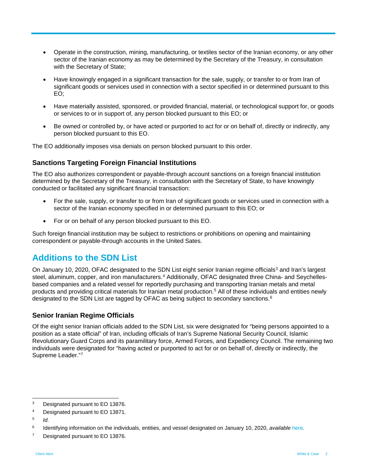- Operate in the construction, mining, manufacturing, or textiles sector of the Iranian economy, or any other sector of the Iranian economy as may be determined by the Secretary of the Treasury, in consultation with the Secretary of State;
- Have knowingly engaged in a significant transaction for the sale, supply, or transfer to or from Iran of significant goods or services used in connection with a sector specified in or determined pursuant to this EO;
- Have materially assisted, sponsored, or provided financial, material, or technological support for, or goods or services to or in support of, any person blocked pursuant to this EO; or
- Be owned or controlled by, or have acted or purported to act for or on behalf of, directly or indirectly, any person blocked pursuant to this EO.

The EO additionally imposes visa denials on person blocked pursuant to this order.

#### **Sanctions Targeting Foreign Financial Institutions**

The EO also authorizes correspondent or payable-through account sanctions on a foreign financial institution determined by the Secretary of the Treasury, in consultation with the Secretary of State, to have knowingly conducted or facilitated any significant financial transaction:

- For the sale, supply, or transfer to or from Iran of significant goods or services used in connection with a sector of the Iranian economy specified in or determined pursuant to this EO; or
- For or on behalf of any person blocked pursuant to this EO.

Such foreign financial institution may be subject to restrictions or prohibitions on opening and maintaining correspondent or payable-through accounts in the United Sates.

## **Additions to the SDN List**

On January 10, 2020, OFAC designated to the SDN List eight senior Iranian regime officials<sup>[3](#page-1-0)</sup> and Iran's largest steel, aluminum, copper, and iron manufacturers.<sup>[4](#page-1-1)</sup> Additionally, OFAC designated three China- and Seychellesbased companies and a related vessel for reportedly purchasing and transporting Iranian metals and metal products and providing critical materials for Iranian metal production. [5](#page-1-2) All of these individuals and entities newly designated to the SDN List are tagged by OFAC as being subject to secondary sanctions. [6](#page-1-3)

#### **Senior Iranian Regime Officials**

Of the eight senior Iranian officials added to the SDN List, six were designated for "being persons appointed to a position as a state official" of Iran, including officials of Iran's Supreme National Security Council, Islamic Revolutionary Guard Corps and its paramilitary force, Armed Forces, and Expediency Council. The remaining two individuals were designated for "having acted or purported to act for or on behalf of, directly or indirectly, the Supreme Leader."[7](#page-1-4)

<span id="page-1-0"></span><sup>&</sup>lt;sup>3</sup> Designated pursuant to EO 13876.

<span id="page-1-1"></span><sup>4</sup> Designated pursuant to EO 13871.

<span id="page-1-2"></span><sup>5</sup> *Id.*

<span id="page-1-3"></span><sup>6</sup> Identifying information on the individuals, entities, and vessel designated on January 10, 2020, *available* [here.](https://www.treasury.gov/resource-center/sanctions/OFAC-Enforcement/Pages/20200110.aspx)

<span id="page-1-4"></span><sup>&</sup>lt;sup>7</sup> Designated pursuant to EO 13876.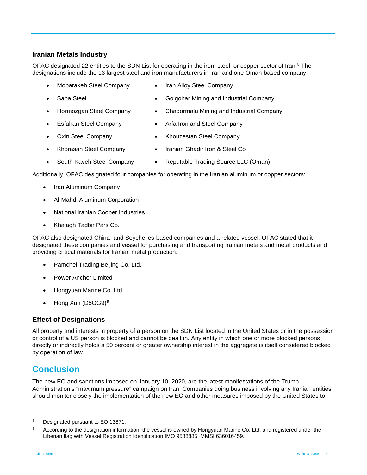#### **Iranian Metals Industry**

OFAC designated 22 entities to the SDN List for operating in the iron, steel, or copper sector of Iran.<sup>[8](#page-2-0)</sup> The designations include the 13 largest steel and iron manufacturers in Iran and one Oman-based company:

- Mobarakeh Steel Company Iran Alloy Steel Company
- 
- Saba Steel Golgohar Mining and Industrial Company
- Hormozgan Steel Company Chadormalu Mining and Industrial Company
- 
- 
- Esfahan Steel Company Arfa Iron and Steel Company
- Oxin Steel Company Khouzestan Steel Company
- Khorasan Steel Company Iranian Ghadir Iron & Steel Co
	-
- South Kaveh Steel Company Reputable Trading Source LLC (Oman)

Additionally, OFAC designated four companies for operating in the Iranian aluminum or copper sectors:

- Iran Aluminum Company
- Al-Mahdi Aluminum Corporation
- National Iranian Cooper Industries
- Khalagh Tadbir Pars Co.

OFAC also designated China- and Seychelles-based companies and a related vessel. OFAC stated that it designated these companies and vessel for purchasing and transporting Iranian metals and metal products and providing critical materials for Iranian metal production:

- Pamchel Trading Beijing Co. Ltd.
- Power Anchor Limited
- Hongyuan Marine Co. Ltd.
- Hong Xun (D5GG9)[9](#page-2-1)

#### **Effect of Designations**

All property and interests in property of a person on the SDN List located in the United States or in the possession or control of a US person is blocked and cannot be dealt in. Any entity in which one or more blocked persons directly or indirectly holds a 50 percent or greater ownership interest in the aggregate is itself considered blocked by operation of law.

## **Conclusion**

The new EO and sanctions imposed on January 10, 2020, are the latest manifestations of the Trump Administration's "maximum pressure" campaign on Iran. Companies doing business involving any Iranian entities should monitor closely the implementation of the new EO and other measures imposed by the United States to

<span id="page-2-0"></span> <sup>8</sup> Designated pursuant to EO 13871.

<span id="page-2-1"></span><sup>9</sup> According to the designation information, the vessel is owned by Hongyuan Marine Co. Ltd. and registered under the Liberian flag with Vessel Registration Identification IMO 9588885; MMSI 636016459.